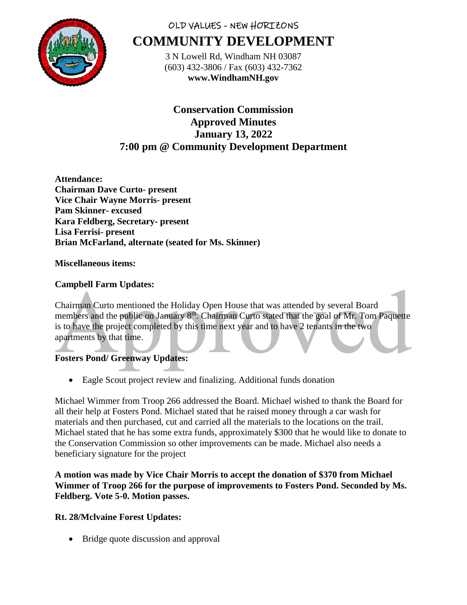

# OLD VALUES - NEW HORIZONS **COMMUNITY DEVELOPMENT**

3 N Lowell Rd, Windham NH 03087 (603) 432-3806 / Fax (603) 432-7362 **www.WindhamNH.gov**

**Conservation Commission Approved Minutes January 13, 2022 7:00 pm @ Community Development Department**

**Attendance: Chairman Dave Curto- present Vice Chair Wayne Morris- present Pam Skinner- excused Kara Feldberg, Secretary- present Lisa Ferrisi- present Brian McFarland, alternate (seated for Ms. Skinner)**

# **Miscellaneous items:**

# **Campbell Farm Updates:**

Chairman Curto mentioned the Holiday Open House that was attended by several Board members and the public on January 8<sup>th</sup>. Chairman Curto stated that the goal of Mr. Tom Paquette is to have the project completed by this time next year and to have 2 tenants in the two apartments by that time.

# **Fosters Pond/ Greenway Updates:**

Eagle Scout project review and finalizing. Additional funds donation

Michael Wimmer from Troop 266 addressed the Board. Michael wished to thank the Board for all their help at Fosters Pond. Michael stated that he raised money through a car wash for materials and then purchased, cut and carried all the materials to the locations on the trail. Michael stated that he has some extra funds, approximately \$300 that he would like to donate to the Conservation Commission so other improvements can be made. Michael also needs a beneficiary signature for the project

**A motion was made by Vice Chair Morris to accept the donation of \$370 from Michael Wimmer of Troop 266 for the purpose of improvements to Fosters Pond. Seconded by Ms. Feldberg. Vote 5-0. Motion passes.** 

# **Rt. 28/Mclvaine Forest Updates:**

• Bridge quote discussion and approval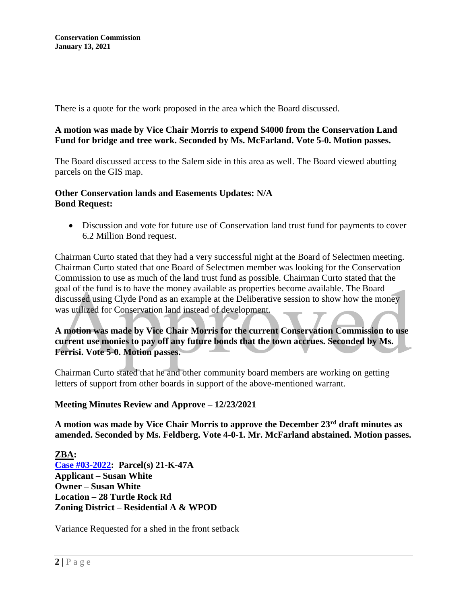There is a quote for the work proposed in the area which the Board discussed.

## **A motion was made by Vice Chair Morris to expend \$4000 from the Conservation Land Fund for bridge and tree work. Seconded by Ms. McFarland. Vote 5-0. Motion passes.**

The Board discussed access to the Salem side in this area as well. The Board viewed abutting parcels on the GIS map.

## **Other Conservation lands and Easements Updates: N/A Bond Request:**

 Discussion and vote for future use of Conservation land trust fund for payments to cover 6.2 Million Bond request.

Chairman Curto stated that they had a very successful night at the Board of Selectmen meeting. Chairman Curto stated that one Board of Selectmen member was looking for the Conservation Commission to use as much of the land trust fund as possible. Chairman Curto stated that the goal of the fund is to have the money available as properties become available. The Board discussed using Clyde Pond as an example at the Deliberative session to show how the money was utilized for Conservation land instead of development.

**A motion was made by Vice Chair Morris for the current Conservation Commission to use current use monies to pay off any future bonds that the town accrues. Seconded by Ms. Ferrisi. Vote 5-0. Motion passes.** 

Chairman Curto stated that he and other community board members are working on getting letters of support from other boards in support of the above-mentioned warrant.

#### **Meeting Minutes Review and Approve – 12/23/2021**

**A motion was made by Vice Chair Morris to approve the December 23rd draft minutes as amended. Seconded by Ms. Feldberg. Vote 4-0-1. Mr. McFarland abstained. Motion passes.** 

**ZBA: [Case #03-2022:](https://nh-windham.civicplus.com/DocumentCenter/Index/892) Parcel(s) 21-K-47A Applicant – Susan White Owner – Susan White Location – 28 Turtle Rock Rd Zoning District – Residential A & WPOD**

Variance Requested for a shed in the front setback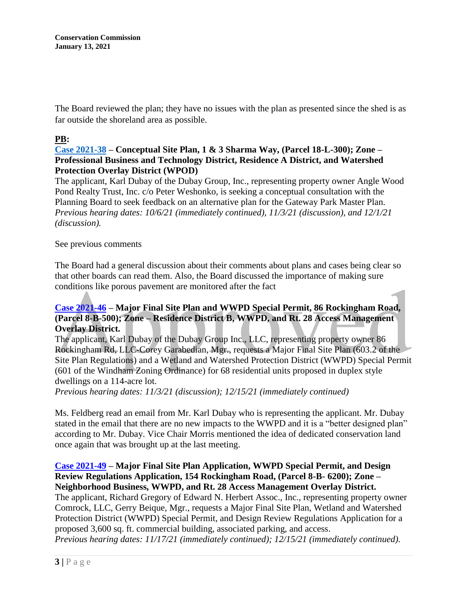**Conservation Commission January 13, 2021**

The Board reviewed the plan; they have no issues with the plan as presented since the shed is as far outside the shoreland area as possible.

# **PB:**

## **[Case 2021-38](https://www.windhamnh.gov/DocumentCenter/Index/749) – Conceptual Site Plan, 1 & 3 Sharma Way, (Parcel 18-L-300); Zone – Professional Business and Technology District, Residence A District, and Watershed Protection Overlay District (WPOD)**

The applicant, Karl Dubay of the Dubay Group, Inc., representing property owner Angle Wood Pond Realty Trust, Inc. c/o Peter Weshonko, is seeking a conceptual consultation with the Planning Board to seek feedback on an alternative plan for the Gateway Park Master Plan. *Previous hearing dates: 10/6/21 (immediately continued), 11/3/21 (discussion), and 12/1/21 (discussion).*

#### See previous comments

The Board had a general discussion about their comments about plans and cases being clear so that other boards can read them. Also, the Board discussed the importance of making sure conditions like porous pavement are monitored after the fact

# **[Case 2021-46](https://www.windhamnh.gov/DocumentCenter/Index/774) – Major Final Site Plan and WWPD Special Permit, 86 Rockingham Road, (Parcel 8-B-500); Zone – Residence District B, WWPD, and Rt. 28 Access Management Overlay District.**

The applicant, Karl Dubay of the Dubay Group Inc., LLC, representing property owner 86 Rockingham Rd, LLC-Corey Garabedian, Mgr., requests a Major Final Site Plan (603.2 of the Site Plan Regulations) and a Wetland and Watershed Protection District (WWPD) Special Permit (601 of the Windham Zoning Ordinance) for 68 residential units proposed in duplex style dwellings on a 114-acre lot.

*Previous hearing dates: 11/3/21 (discussion); 12/15/21 (immediately continued)*

Ms. Feldberg read an email from Mr. Karl Dubay who is representing the applicant. Mr. Dubay stated in the email that there are no new impacts to the WWPD and it is a "better designed plan" according to Mr. Dubay. Vice Chair Morris mentioned the idea of dedicated conservation land once again that was brought up at the last meeting.

# **[Case 2021-49](https://www.windhamnh.gov/DocumentCenter/Index/777) – Major Final Site Plan Application, WWPD Special Permit, and Design Review Regulations Application, 154 Rockingham Road, (Parcel 8-B- 6200); Zone – Neighborhood Business, WWPD, and Rt. 28 Access Management Overlay District.**

The applicant, Richard Gregory of Edward N. Herbert Assoc., Inc., representing property owner Comrock, LLC, Gerry Beique, Mgr., requests a Major Final Site Plan, Wetland and Watershed Protection District (WWPD) Special Permit, and Design Review Regulations Application for a proposed 3,600 sq. ft. commercial building, associated parking, and access.

*Previous hearing dates: 11/17/21 (immediately continued); 12/15/21 (immediately continued).*